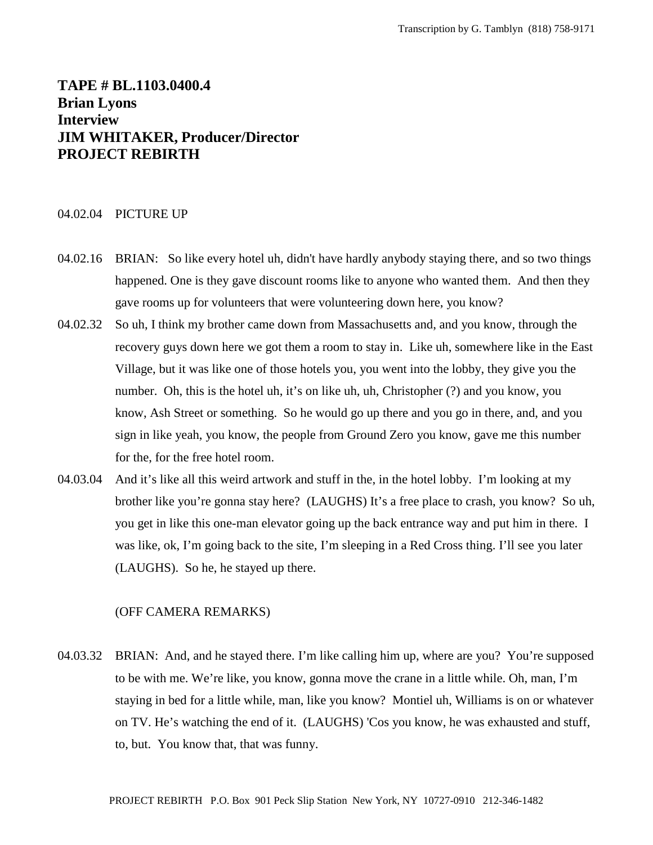# **TAPE # BL.1103.0400.4 Brian Lyons Interview JIM WHITAKER, Producer/Director PROJECT REBIRTH**

### 04.02.04 PICTURE UP

- 04.02.16 BRIAN: So like every hotel uh, didn't have hardly anybody staying there, and so two things happened. One is they gave discount rooms like to anyone who wanted them. And then they gave rooms up for volunteers that were volunteering down here, you know?
- 04.02.32 So uh, I think my brother came down from Massachusetts and, and you know, through the recovery guys down here we got them a room to stay in. Like uh, somewhere like in the East Village, but it was like one of those hotels you, you went into the lobby, they give you the number. Oh, this is the hotel uh, it's on like uh, uh, Christopher (?) and you know, you know, Ash Street or something. So he would go up there and you go in there, and, and you sign in like yeah, you know, the people from Ground Zero you know, gave me this number for the, for the free hotel room.
- 04.03.04 And it's like all this weird artwork and stuff in the, in the hotel lobby. I'm looking at my brother like you're gonna stay here? (LAUGHS) It's a free place to crash, you know? So uh, you get in like this one-man elevator going up the back entrance way and put him in there. I was like, ok, I'm going back to the site, I'm sleeping in a Red Cross thing. I'll see you later (LAUGHS). So he, he stayed up there.

### (OFF CAMERA REMARKS)

04.03.32 BRIAN: And, and he stayed there. I'm like calling him up, where are you? You're supposed to be with me. We're like, you know, gonna move the crane in a little while. Oh, man, I'm staying in bed for a little while, man, like you know? Montiel uh, Williams is on or whatever on TV. He's watching the end of it. (LAUGHS) 'Cos you know, he was exhausted and stuff, to, but. You know that, that was funny.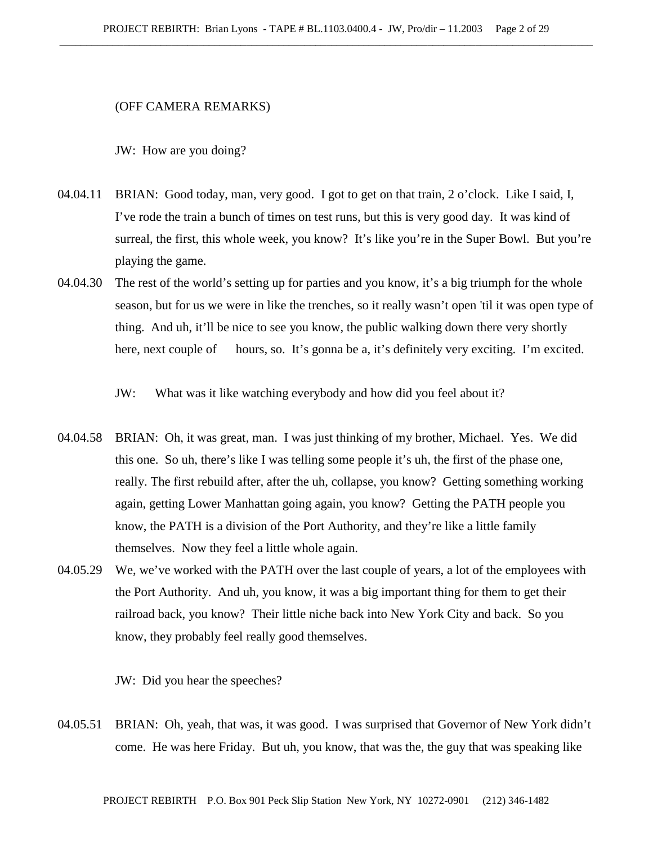### (OFF CAMERA REMARKS)

JW: How are you doing?

- 04.04.11 BRIAN: Good today, man, very good. I got to get on that train, 2 o'clock. Like I said, I, I've rode the train a bunch of times on test runs, but this is very good day. It was kind of surreal, the first, this whole week, you know? It's like you're in the Super Bowl. But you're playing the game.
- 04.04.30 The rest of the world's setting up for parties and you know, it's a big triumph for the whole season, but for us we were in like the trenches, so it really wasn't open 'til it was open type of thing. And uh, it'll be nice to see you know, the public walking down there very shortly here, next couple of hours, so. It's gonna be a, it's definitely very exciting. I'm excited.

JW: What was it like watching everybody and how did you feel about it?

- 04.04.58 BRIAN: Oh, it was great, man. I was just thinking of my brother, Michael. Yes. We did this one. So uh, there's like I was telling some people it's uh, the first of the phase one, really. The first rebuild after, after the uh, collapse, you know? Getting something working again, getting Lower Manhattan going again, you know? Getting the PATH people you know, the PATH is a division of the Port Authority, and they're like a little family themselves. Now they feel a little whole again.
- 04.05.29 We, we've worked with the PATH over the last couple of years, a lot of the employees with the Port Authority. And uh, you know, it was a big important thing for them to get their railroad back, you know? Their little niche back into New York City and back. So you know, they probably feel really good themselves.

JW: Did you hear the speeches?

04.05.51 BRIAN: Oh, yeah, that was, it was good. I was surprised that Governor of New York didn't come. He was here Friday. But uh, you know, that was the, the guy that was speaking like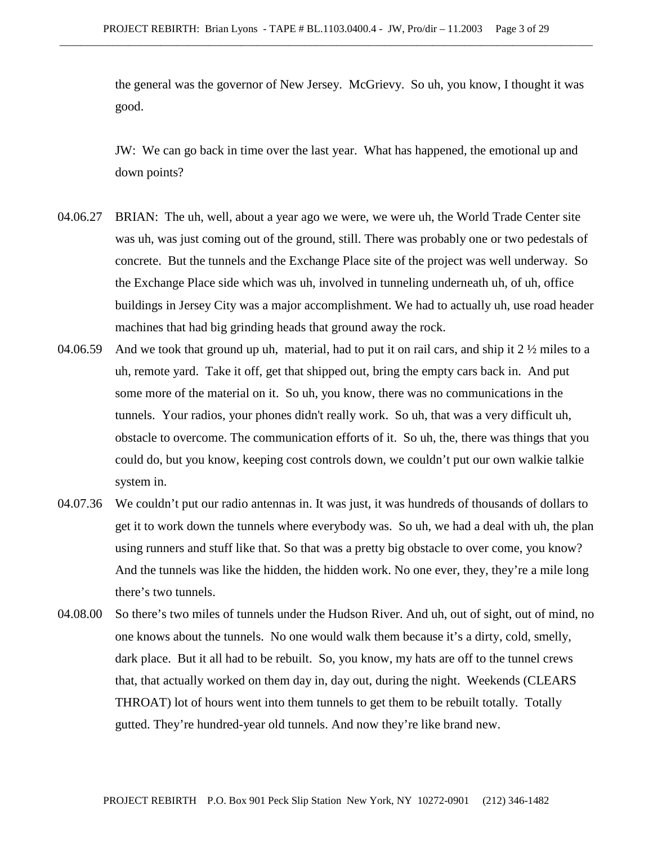the general was the governor of New Jersey. McGrievy. So uh, you know, I thought it was good.

JW: We can go back in time over the last year. What has happened, the emotional up and down points?

- 04.06.27 BRIAN: The uh, well, about a year ago we were, we were uh, the World Trade Center site was uh, was just coming out of the ground, still. There was probably one or two pedestals of concrete. But the tunnels and the Exchange Place site of the project was well underway. So the Exchange Place side which was uh, involved in tunneling underneath uh, of uh, office buildings in Jersey City was a major accomplishment. We had to actually uh, use road header machines that had big grinding heads that ground away the rock.
- 04.06.59 And we took that ground up uh, material, had to put it on rail cars, and ship it 2  $\frac{1}{2}$  miles to a uh, remote yard. Take it off, get that shipped out, bring the empty cars back in. And put some more of the material on it. So uh, you know, there was no communications in the tunnels. Your radios, your phones didn't really work. So uh, that was a very difficult uh, obstacle to overcome. The communication efforts of it. So uh, the, there was things that you could do, but you know, keeping cost controls down, we couldn't put our own walkie talkie system in.
- 04.07.36 We couldn't put our radio antennas in. It was just, it was hundreds of thousands of dollars to get it to work down the tunnels where everybody was. So uh, we had a deal with uh, the plan using runners and stuff like that. So that was a pretty big obstacle to over come, you know? And the tunnels was like the hidden, the hidden work. No one ever, they, they're a mile long there's two tunnels.
- 04.08.00 So there's two miles of tunnels under the Hudson River. And uh, out of sight, out of mind, no one knows about the tunnels. No one would walk them because it's a dirty, cold, smelly, dark place. But it all had to be rebuilt. So, you know, my hats are off to the tunnel crews that, that actually worked on them day in, day out, during the night. Weekends (CLEARS THROAT) lot of hours went into them tunnels to get them to be rebuilt totally. Totally gutted. They're hundred-year old tunnels. And now they're like brand new.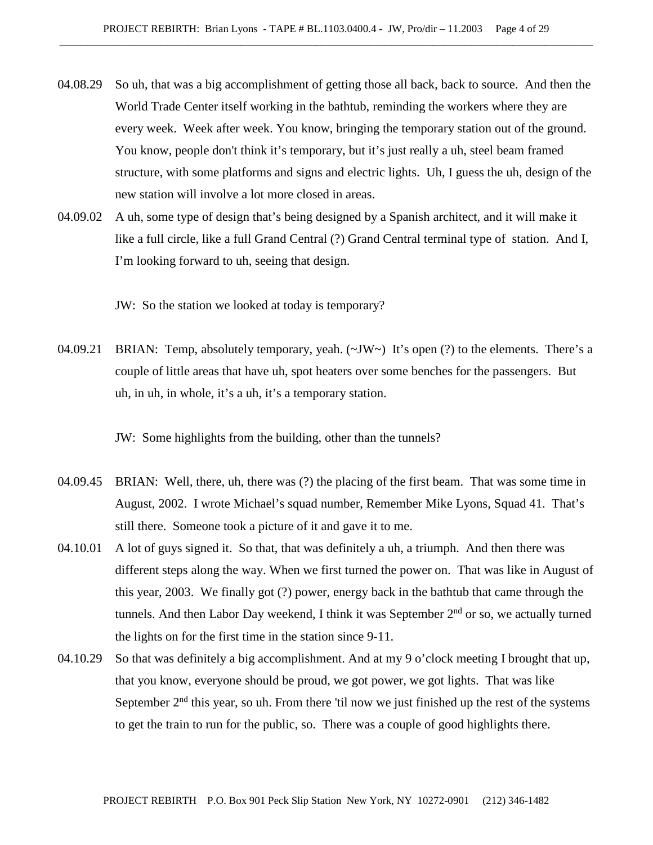- 04.08.29 So uh, that was a big accomplishment of getting those all back, back to source. And then the World Trade Center itself working in the bathtub, reminding the workers where they are every week. Week after week. You know, bringing the temporary station out of the ground. You know, people don't think it's temporary, but it's just really a uh, steel beam framed structure, with some platforms and signs and electric lights. Uh, I guess the uh, design of the new station will involve a lot more closed in areas.
- 04.09.02 A uh, some type of design that's being designed by a Spanish architect, and it will make it like a full circle, like a full Grand Central (?) Grand Central terminal type of station. And I, I'm looking forward to uh, seeing that design.

JW: So the station we looked at today is temporary?

04.09.21 BRIAN: Temp, absolutely temporary, yeah. (~JW~) It's open (?) to the elements. There's a couple of little areas that have uh, spot heaters over some benches for the passengers. But uh, in uh, in whole, it's a uh, it's a temporary station.

JW: Some highlights from the building, other than the tunnels?

- 04.09.45 BRIAN: Well, there, uh, there was (?) the placing of the first beam. That was some time in August, 2002. I wrote Michael's squad number, Remember Mike Lyons, Squad 41. That's still there. Someone took a picture of it and gave it to me.
- 04.10.01 A lot of guys signed it. So that, that was definitely a uh, a triumph. And then there was different steps along the way. When we first turned the power on. That was like in August of this year, 2003. We finally got (?) power, energy back in the bathtub that came through the tunnels. And then Labor Day weekend, I think it was September  $2<sup>nd</sup>$  or so, we actually turned the lights on for the first time in the station since 9-11.
- 04.10.29 So that was definitely a big accomplishment. And at my 9 o'clock meeting I brought that up, that you know, everyone should be proud, we got power, we got lights. That was like September  $2<sup>nd</sup>$  this year, so uh. From there 'til now we just finished up the rest of the systems to get the train to run for the public, so. There was a couple of good highlights there.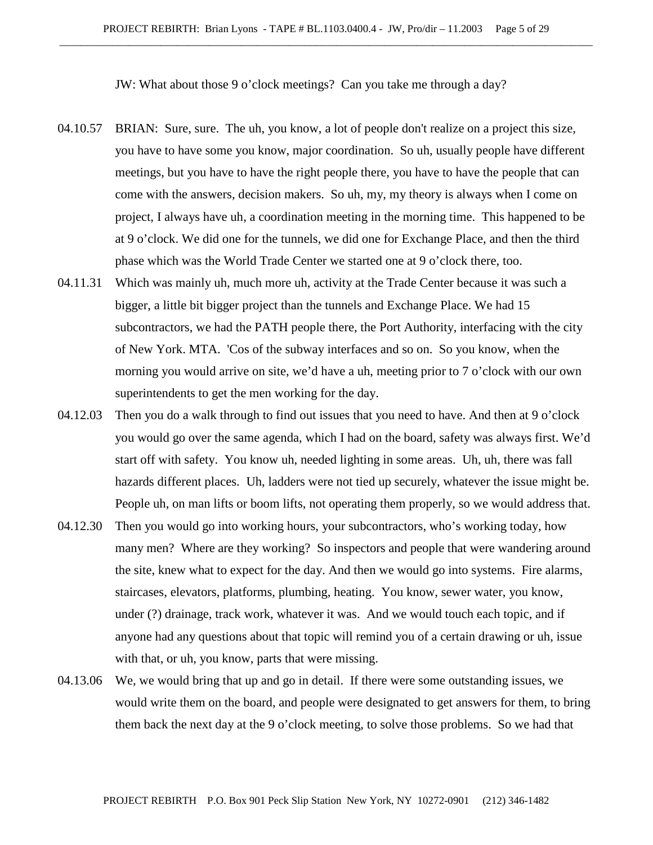JW: What about those 9 o'clock meetings? Can you take me through a day?

- 04.10.57 BRIAN: Sure, sure. The uh, you know, a lot of people don't realize on a project this size, you have to have some you know, major coordination. So uh, usually people have different meetings, but you have to have the right people there, you have to have the people that can come with the answers, decision makers. So uh, my, my theory is always when I come on project, I always have uh, a coordination meeting in the morning time. This happened to be at 9 o'clock. We did one for the tunnels, we did one for Exchange Place, and then the third phase which was the World Trade Center we started one at 9 o'clock there, too.
- 04.11.31 Which was mainly uh, much more uh, activity at the Trade Center because it was such a bigger, a little bit bigger project than the tunnels and Exchange Place. We had 15 subcontractors, we had the PATH people there, the Port Authority, interfacing with the city of New York. MTA. 'Cos of the subway interfaces and so on. So you know, when the morning you would arrive on site, we'd have a uh, meeting prior to 7 o'clock with our own superintendents to get the men working for the day.
- 04.12.03 Then you do a walk through to find out issues that you need to have. And then at 9 o'clock you would go over the same agenda, which I had on the board, safety was always first. We'd start off with safety. You know uh, needed lighting in some areas. Uh, uh, there was fall hazards different places. Uh, ladders were not tied up securely, whatever the issue might be. People uh, on man lifts or boom lifts, not operating them properly, so we would address that.
- 04.12.30 Then you would go into working hours, your subcontractors, who's working today, how many men? Where are they working? So inspectors and people that were wandering around the site, knew what to expect for the day. And then we would go into systems. Fire alarms, staircases, elevators, platforms, plumbing, heating. You know, sewer water, you know, under (?) drainage, track work, whatever it was. And we would touch each topic, and if anyone had any questions about that topic will remind you of a certain drawing or uh, issue with that, or uh, you know, parts that were missing.
- 04.13.06 We, we would bring that up and go in detail. If there were some outstanding issues, we would write them on the board, and people were designated to get answers for them, to bring them back the next day at the 9 o'clock meeting, to solve those problems. So we had that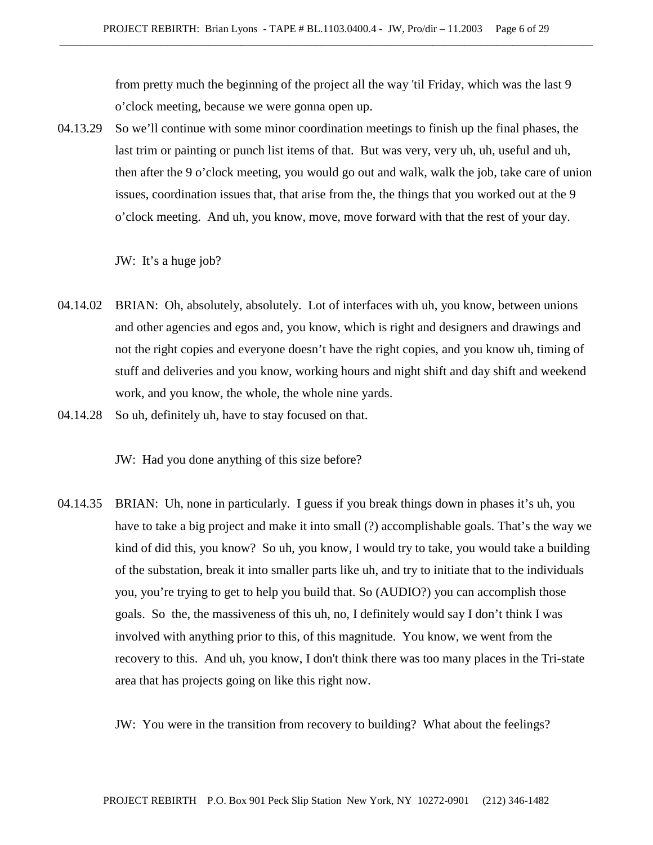from pretty much the beginning of the project all the way 'til Friday, which was the last 9 o'clock meeting, because we were gonna open up.

04.13.29 So we'll continue with some minor coordination meetings to finish up the final phases, the last trim or painting or punch list items of that. But was very, very uh, uh, useful and uh, then after the 9 o'clock meeting, you would go out and walk, walk the job, take care of union issues, coordination issues that, that arise from the, the things that you worked out at the 9 o'clock meeting. And uh, you know, move, move forward with that the rest of your day.

JW: It's a huge job?

- 04.14.02 BRIAN: Oh, absolutely, absolutely. Lot of interfaces with uh, you know, between unions and other agencies and egos and, you know, which is right and designers and drawings and not the right copies and everyone doesn't have the right copies, and you know uh, timing of stuff and deliveries and you know, working hours and night shift and day shift and weekend work, and you know, the whole, the whole nine yards.
- 04.14.28 So uh, definitely uh, have to stay focused on that.

JW: Had you done anything of this size before?

04.14.35 BRIAN: Uh, none in particularly. I guess if you break things down in phases it's uh, you have to take a big project and make it into small (?) accomplishable goals. That's the way we kind of did this, you know? So uh, you know, I would try to take, you would take a building of the substation, break it into smaller parts like uh, and try to initiate that to the individuals you, you're trying to get to help you build that. So (AUDIO?) you can accomplish those goals. So the, the massiveness of this uh, no, I definitely would say I don't think I was involved with anything prior to this, of this magnitude. You know, we went from the recovery to this. And uh, you know, I don't think there was too many places in the Tri-state area that has projects going on like this right now.

JW: You were in the transition from recovery to building? What about the feelings?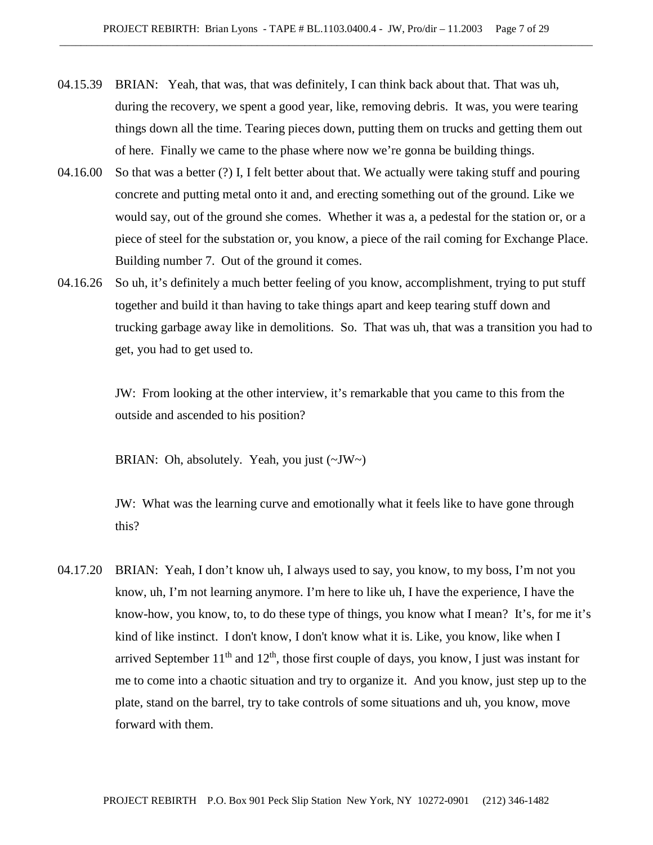- 04.15.39 BRIAN: Yeah, that was, that was definitely, I can think back about that. That was uh, during the recovery, we spent a good year, like, removing debris. It was, you were tearing things down all the time. Tearing pieces down, putting them on trucks and getting them out of here. Finally we came to the phase where now we're gonna be building things.
- 04.16.00 So that was a better (?) I, I felt better about that. We actually were taking stuff and pouring concrete and putting metal onto it and, and erecting something out of the ground. Like we would say, out of the ground she comes. Whether it was a, a pedestal for the station or, or a piece of steel for the substation or, you know, a piece of the rail coming for Exchange Place. Building number 7. Out of the ground it comes.
- 04.16.26 So uh, it's definitely a much better feeling of you know, accomplishment, trying to put stuff together and build it than having to take things apart and keep tearing stuff down and trucking garbage away like in demolitions. So. That was uh, that was a transition you had to get, you had to get used to.

JW: From looking at the other interview, it's remarkable that you came to this from the outside and ascended to his position?

BRIAN: Oh, absolutely. Yeah, you just (~JW~)

JW: What was the learning curve and emotionally what it feels like to have gone through this?

04.17.20 BRIAN: Yeah, I don't know uh, I always used to say, you know, to my boss, I'm not you know, uh, I'm not learning anymore. I'm here to like uh, I have the experience, I have the know-how, you know, to, to do these type of things, you know what I mean? It's, for me it's kind of like instinct. I don't know, I don't know what it is. Like, you know, like when I arrived September  $11<sup>th</sup>$  and  $12<sup>th</sup>$ , those first couple of days, you know, I just was instant for me to come into a chaotic situation and try to organize it. And you know, just step up to the plate, stand on the barrel, try to take controls of some situations and uh, you know, move forward with them.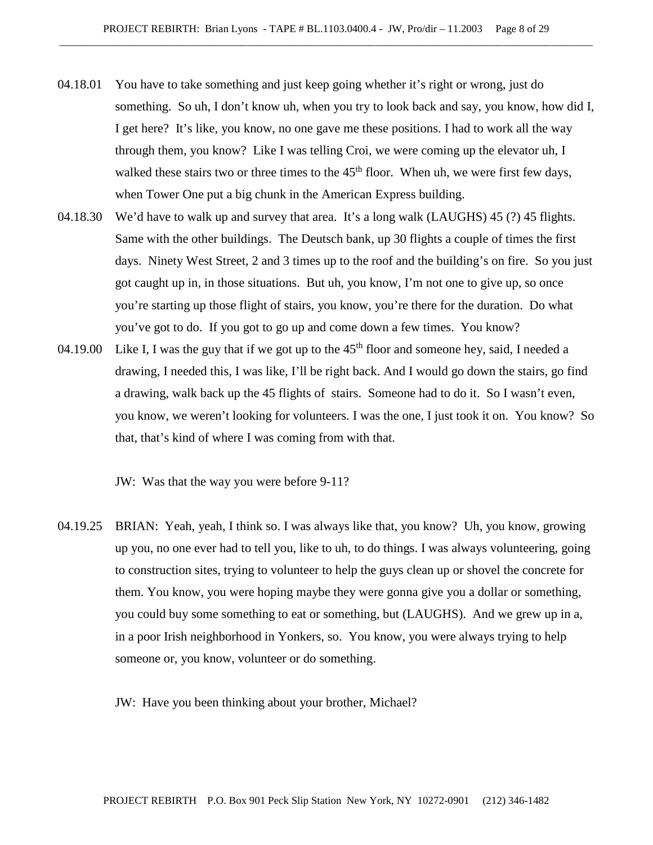- 04.18.01 You have to take something and just keep going whether it's right or wrong, just do something. So uh, I don't know uh, when you try to look back and say, you know, how did I, I get here? It's like, you know, no one gave me these positions. I had to work all the way through them, you know? Like I was telling Croi, we were coming up the elevator uh, I walked these stairs two or three times to the  $45<sup>th</sup>$  floor. When uh, we were first few days, when Tower One put a big chunk in the American Express building.
- 04.18.30 We'd have to walk up and survey that area. It's a long walk (LAUGHS) 45 (?) 45 flights. Same with the other buildings. The Deutsch bank, up 30 flights a couple of times the first days. Ninety West Street, 2 and 3 times up to the roof and the building's on fire. So you just got caught up in, in those situations. But uh, you know, I'm not one to give up, so once you're starting up those flight of stairs, you know, you're there for the duration. Do what you've got to do. If you got to go up and come down a few times. You know?
- 04.19.00 Like I, I was the guy that if we got up to the  $45<sup>th</sup>$  floor and someone hey, said, I needed a drawing, I needed this, I was like, I'll be right back. And I would go down the stairs, go find a drawing, walk back up the 45 flights of stairs. Someone had to do it. So I wasn't even, you know, we weren't looking for volunteers. I was the one, I just took it on. You know? So that, that's kind of where I was coming from with that.

JW: Was that the way you were before 9-11?

04.19.25 BRIAN: Yeah, yeah, I think so. I was always like that, you know? Uh, you know, growing up you, no one ever had to tell you, like to uh, to do things. I was always volunteering, going to construction sites, trying to volunteer to help the guys clean up or shovel the concrete for them. You know, you were hoping maybe they were gonna give you a dollar or something, you could buy some something to eat or something, but (LAUGHS). And we grew up in a, in a poor Irish neighborhood in Yonkers, so. You know, you were always trying to help someone or, you know, volunteer or do something.

JW: Have you been thinking about your brother, Michael?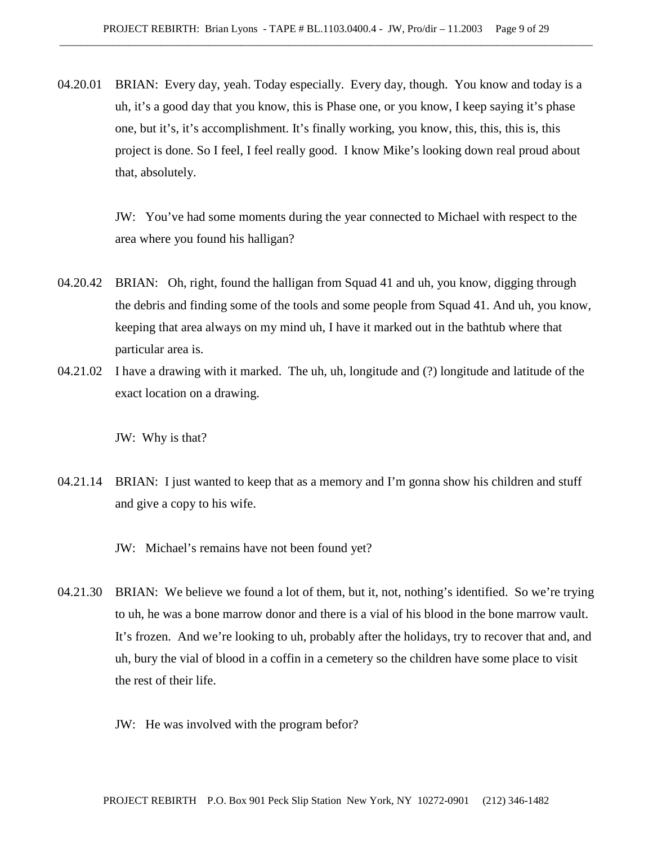04.20.01 BRIAN: Every day, yeah. Today especially. Every day, though. You know and today is a uh, it's a good day that you know, this is Phase one, or you know, I keep saying it's phase one, but it's, it's accomplishment. It's finally working, you know, this, this, this is, this project is done. So I feel, I feel really good. I know Mike's looking down real proud about that, absolutely.

> JW: You've had some moments during the year connected to Michael with respect to the area where you found his halligan?

- 04.20.42 BRIAN: Oh, right, found the halligan from Squad 41 and uh, you know, digging through the debris and finding some of the tools and some people from Squad 41. And uh, you know, keeping that area always on my mind uh, I have it marked out in the bathtub where that particular area is.
- 04.21.02 I have a drawing with it marked. The uh, uh, longitude and (?) longitude and latitude of the exact location on a drawing.

JW: Why is that?

04.21.14 BRIAN: I just wanted to keep that as a memory and I'm gonna show his children and stuff and give a copy to his wife.

JW: Michael's remains have not been found yet?

- 04.21.30 BRIAN: We believe we found a lot of them, but it, not, nothing's identified. So we're trying to uh, he was a bone marrow donor and there is a vial of his blood in the bone marrow vault. It's frozen. And we're looking to uh, probably after the holidays, try to recover that and, and uh, bury the vial of blood in a coffin in a cemetery so the children have some place to visit the rest of their life.
	- JW: He was involved with the program befor?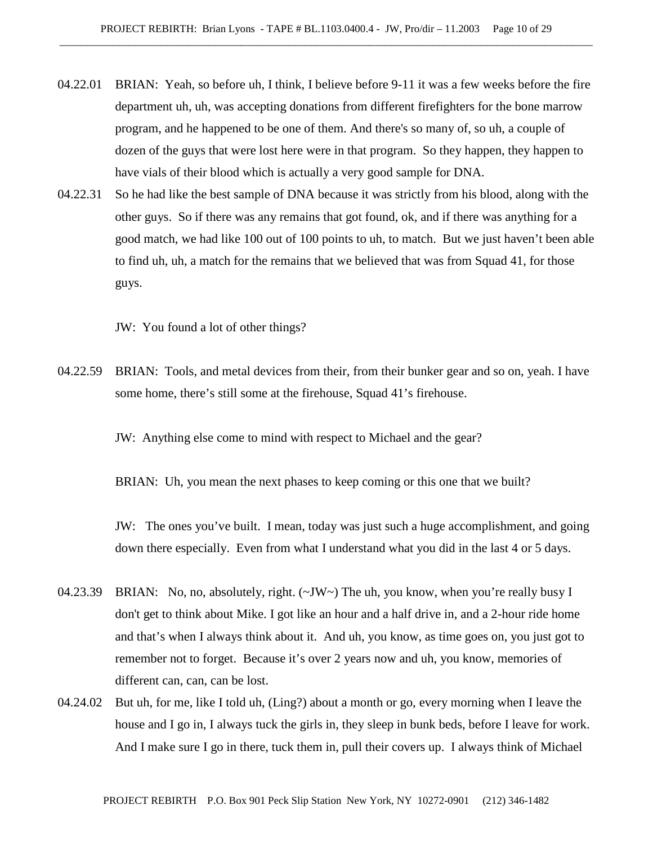- 04.22.01 BRIAN: Yeah, so before uh, I think, I believe before 9-11 it was a few weeks before the fire department uh, uh, was accepting donations from different firefighters for the bone marrow program, and he happened to be one of them. And there's so many of, so uh, a couple of dozen of the guys that were lost here were in that program. So they happen, they happen to have vials of their blood which is actually a very good sample for DNA.
- 04.22.31 So he had like the best sample of DNA because it was strictly from his blood, along with the other guys. So if there was any remains that got found, ok, and if there was anything for a good match, we had like 100 out of 100 points to uh, to match. But we just haven't been able to find uh, uh, a match for the remains that we believed that was from Squad 41, for those guys.

JW: You found a lot of other things?

04.22.59 BRIAN: Tools, and metal devices from their, from their bunker gear and so on, yeah. I have some home, there's still some at the firehouse, Squad 41's firehouse.

JW: Anything else come to mind with respect to Michael and the gear?

BRIAN: Uh, you mean the next phases to keep coming or this one that we built?

JW: The ones you've built. I mean, today was just such a huge accomplishment, and going down there especially. Even from what I understand what you did in the last 4 or 5 days.

- 04.23.39 BRIAN: No, no, absolutely, right. (~JW~) The uh, you know, when you're really busy I don't get to think about Mike. I got like an hour and a half drive in, and a 2-hour ride home and that's when I always think about it. And uh, you know, as time goes on, you just got to remember not to forget. Because it's over 2 years now and uh, you know, memories of different can, can, can be lost.
- 04.24.02 But uh, for me, like I told uh, (Ling?) about a month or go, every morning when I leave the house and I go in, I always tuck the girls in, they sleep in bunk beds, before I leave for work. And I make sure I go in there, tuck them in, pull their covers up. I always think of Michael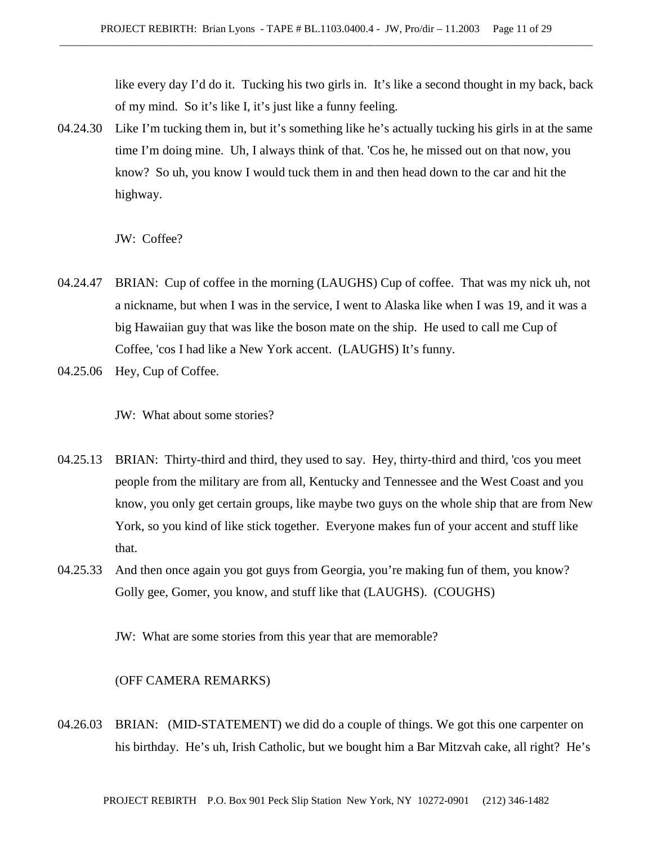like every day I'd do it. Tucking his two girls in. It's like a second thought in my back, back of my mind. So it's like I, it's just like a funny feeling.

04.24.30 Like I'm tucking them in, but it's something like he's actually tucking his girls in at the same time I'm doing mine. Uh, I always think of that. 'Cos he, he missed out on that now, you know? So uh, you know I would tuck them in and then head down to the car and hit the highway.

JW: Coffee?

- 04.24.47 BRIAN: Cup of coffee in the morning (LAUGHS) Cup of coffee. That was my nick uh, not a nickname, but when I was in the service, I went to Alaska like when I was 19, and it was a big Hawaiian guy that was like the boson mate on the ship. He used to call me Cup of Coffee, 'cos I had like a New York accent. (LAUGHS) It's funny.
- 04.25.06 Hey, Cup of Coffee.

JW: What about some stories?

- 04.25.13 BRIAN: Thirty-third and third, they used to say. Hey, thirty-third and third, 'cos you meet people from the military are from all, Kentucky and Tennessee and the West Coast and you know, you only get certain groups, like maybe two guys on the whole ship that are from New York, so you kind of like stick together. Everyone makes fun of your accent and stuff like that.
- 04.25.33 And then once again you got guys from Georgia, you're making fun of them, you know? Golly gee, Gomer, you know, and stuff like that (LAUGHS). (COUGHS)

JW: What are some stories from this year that are memorable?

(OFF CAMERA REMARKS)

04.26.03 BRIAN: (MID-STATEMENT) we did do a couple of things. We got this one carpenter on his birthday. He's uh, Irish Catholic, but we bought him a Bar Mitzvah cake, all right? He's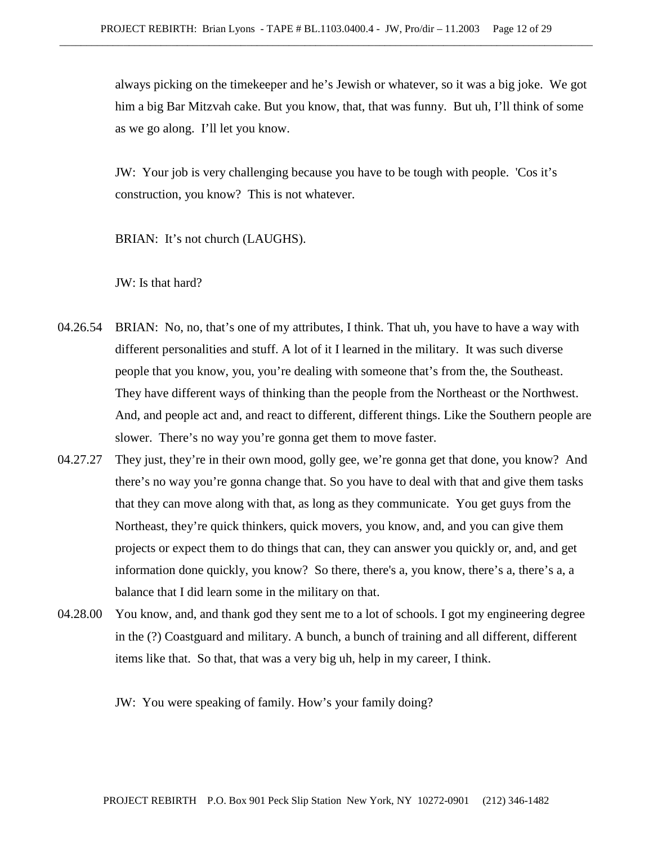always picking on the timekeeper and he's Jewish or whatever, so it was a big joke. We got him a big Bar Mitzvah cake. But you know, that, that was funny. But uh, I'll think of some as we go along. I'll let you know.

JW: Your job is very challenging because you have to be tough with people. 'Cos it's construction, you know? This is not whatever.

BRIAN: It's not church (LAUGHS).

JW: Is that hard?

- 04.26.54 BRIAN: No, no, that's one of my attributes, I think. That uh, you have to have a way with different personalities and stuff. A lot of it I learned in the military. It was such diverse people that you know, you, you're dealing with someone that's from the, the Southeast. They have different ways of thinking than the people from the Northeast or the Northwest. And, and people act and, and react to different, different things. Like the Southern people are slower. There's no way you're gonna get them to move faster.
- 04.27.27 They just, they're in their own mood, golly gee, we're gonna get that done, you know? And there's no way you're gonna change that. So you have to deal with that and give them tasks that they can move along with that, as long as they communicate. You get guys from the Northeast, they're quick thinkers, quick movers, you know, and, and you can give them projects or expect them to do things that can, they can answer you quickly or, and, and get information done quickly, you know? So there, there's a, you know, there's a, there's a, a balance that I did learn some in the military on that.
- 04.28.00 You know, and, and thank god they sent me to a lot of schools. I got my engineering degree in the (?) Coastguard and military. A bunch, a bunch of training and all different, different items like that. So that, that was a very big uh, help in my career, I think.

JW: You were speaking of family. How's your family doing?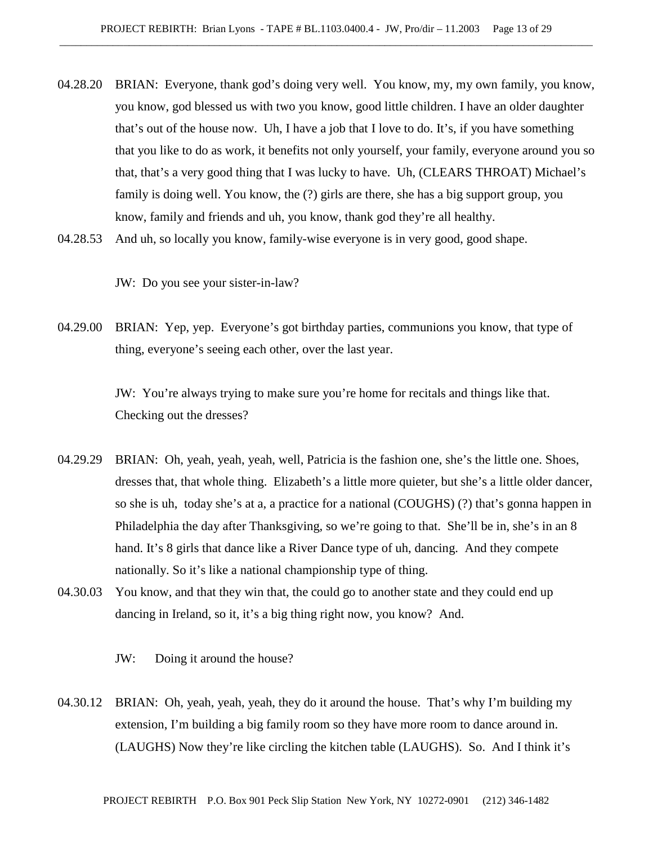- 04.28.20 BRIAN: Everyone, thank god's doing very well. You know, my, my own family, you know, you know, god blessed us with two you know, good little children. I have an older daughter that's out of the house now. Uh, I have a job that I love to do. It's, if you have something that you like to do as work, it benefits not only yourself, your family, everyone around you so that, that's a very good thing that I was lucky to have. Uh, (CLEARS THROAT) Michael's family is doing well. You know, the (?) girls are there, she has a big support group, you know, family and friends and uh, you know, thank god they're all healthy.
- 04.28.53 And uh, so locally you know, family-wise everyone is in very good, good shape.

JW: Do you see your sister-in-law?

04.29.00 BRIAN: Yep, yep. Everyone's got birthday parties, communions you know, that type of thing, everyone's seeing each other, over the last year.

> JW: You're always trying to make sure you're home for recitals and things like that. Checking out the dresses?

- 04.29.29 BRIAN: Oh, yeah, yeah, yeah, well, Patricia is the fashion one, she's the little one. Shoes, dresses that, that whole thing. Elizabeth's a little more quieter, but she's a little older dancer, so she is uh, today she's at a, a practice for a national (COUGHS) (?) that's gonna happen in Philadelphia the day after Thanksgiving, so we're going to that. She'll be in, she's in an 8 hand. It's 8 girls that dance like a River Dance type of uh, dancing. And they compete nationally. So it's like a national championship type of thing.
- 04.30.03 You know, and that they win that, the could go to another state and they could end up dancing in Ireland, so it, it's a big thing right now, you know? And.

JW: Doing it around the house?

04.30.12 BRIAN: Oh, yeah, yeah, yeah, they do it around the house. That's why I'm building my extension, I'm building a big family room so they have more room to dance around in. (LAUGHS) Now they're like circling the kitchen table (LAUGHS). So. And I think it's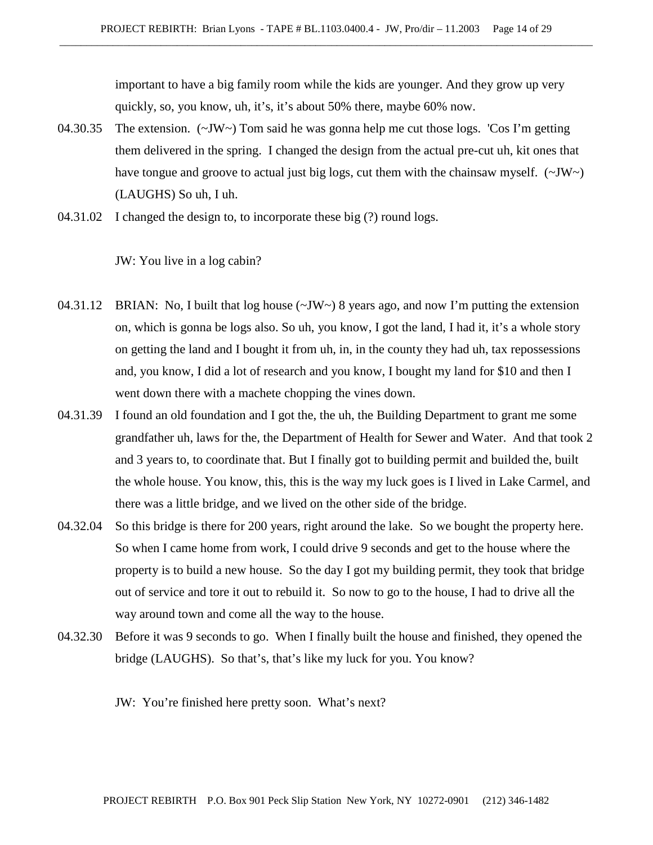important to have a big family room while the kids are younger. And they grow up very quickly, so, you know, uh, it's, it's about 50% there, maybe 60% now.

- 04.30.35 The extension. (~JW~) Tom said he was gonna help me cut those logs. 'Cos I'm getting them delivered in the spring. I changed the design from the actual pre-cut uh, kit ones that have tongue and groove to actual just big logs, cut them with the chainsaw myself.  $(\sim JW)$ (LAUGHS) So uh, I uh.
- 04.31.02 I changed the design to, to incorporate these big (?) round logs.

JW: You live in a log cabin?

- 04.31.12 BRIAN: No, I built that log house ( $\sim$ JW $\sim$ ) 8 years ago, and now I'm putting the extension on, which is gonna be logs also. So uh, you know, I got the land, I had it, it's a whole story on getting the land and I bought it from uh, in, in the county they had uh, tax repossessions and, you know, I did a lot of research and you know, I bought my land for \$10 and then I went down there with a machete chopping the vines down.
- 04.31.39 I found an old foundation and I got the, the uh, the Building Department to grant me some grandfather uh, laws for the, the Department of Health for Sewer and Water. And that took 2 and 3 years to, to coordinate that. But I finally got to building permit and builded the, built the whole house. You know, this, this is the way my luck goes is I lived in Lake Carmel, and there was a little bridge, and we lived on the other side of the bridge.
- 04.32.04 So this bridge is there for 200 years, right around the lake. So we bought the property here. So when I came home from work, I could drive 9 seconds and get to the house where the property is to build a new house. So the day I got my building permit, they took that bridge out of service and tore it out to rebuild it. So now to go to the house, I had to drive all the way around town and come all the way to the house.
- 04.32.30 Before it was 9 seconds to go. When I finally built the house and finished, they opened the bridge (LAUGHS). So that's, that's like my luck for you. You know?

JW: You're finished here pretty soon. What's next?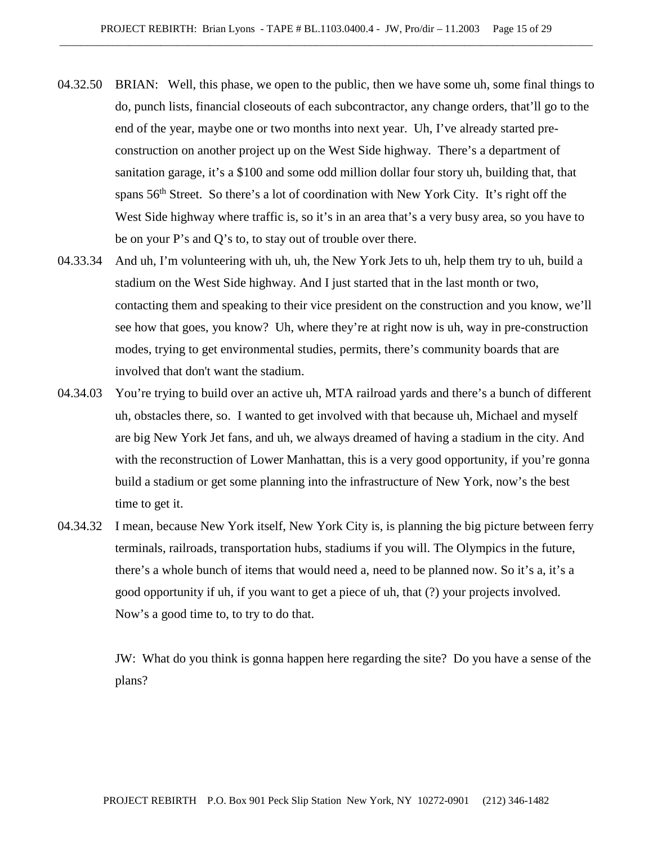- 04.32.50 BRIAN: Well, this phase, we open to the public, then we have some uh, some final things to do, punch lists, financial closeouts of each subcontractor, any change orders, that'll go to the end of the year, maybe one or two months into next year. Uh, I've already started preconstruction on another project up on the West Side highway. There's a department of sanitation garage, it's a \$100 and some odd million dollar four story uh, building that, that spans 56<sup>th</sup> Street. So there's a lot of coordination with New York City. It's right off the West Side highway where traffic is, so it's in an area that's a very busy area, so you have to be on your P's and Q's to, to stay out of trouble over there.
- 04.33.34 And uh, I'm volunteering with uh, uh, the New York Jets to uh, help them try to uh, build a stadium on the West Side highway. And I just started that in the last month or two, contacting them and speaking to their vice president on the construction and you know, we'll see how that goes, you know? Uh, where they're at right now is uh, way in pre-construction modes, trying to get environmental studies, permits, there's community boards that are involved that don't want the stadium.
- 04.34.03 You're trying to build over an active uh, MTA railroad yards and there's a bunch of different uh, obstacles there, so. I wanted to get involved with that because uh, Michael and myself are big New York Jet fans, and uh, we always dreamed of having a stadium in the city. And with the reconstruction of Lower Manhattan, this is a very good opportunity, if you're gonna build a stadium or get some planning into the infrastructure of New York, now's the best time to get it.
- 04.34.32 I mean, because New York itself, New York City is, is planning the big picture between ferry terminals, railroads, transportation hubs, stadiums if you will. The Olympics in the future, there's a whole bunch of items that would need a, need to be planned now. So it's a, it's a good opportunity if uh, if you want to get a piece of uh, that (?) your projects involved. Now's a good time to, to try to do that.

JW: What do you think is gonna happen here regarding the site? Do you have a sense of the plans?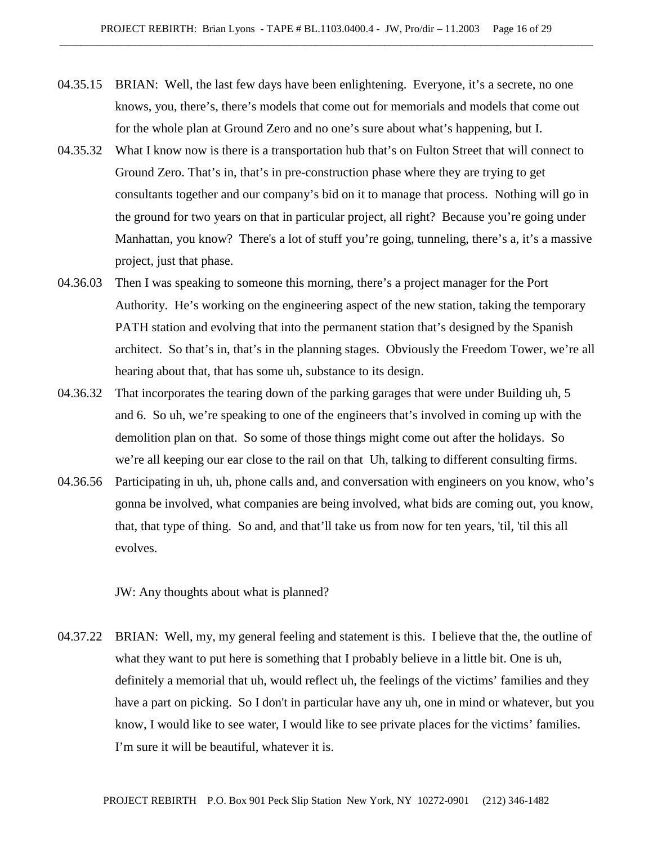- 04.35.15 BRIAN: Well, the last few days have been enlightening. Everyone, it's a secrete, no one knows, you, there's, there's models that come out for memorials and models that come out for the whole plan at Ground Zero and no one's sure about what's happening, but I.
- 04.35.32 What I know now is there is a transportation hub that's on Fulton Street that will connect to Ground Zero. That's in, that's in pre-construction phase where they are trying to get consultants together and our company's bid on it to manage that process. Nothing will go in the ground for two years on that in particular project, all right? Because you're going under Manhattan, you know? There's a lot of stuff you're going, tunneling, there's a, it's a massive project, just that phase.
- 04.36.03 Then I was speaking to someone this morning, there's a project manager for the Port Authority. He's working on the engineering aspect of the new station, taking the temporary PATH station and evolving that into the permanent station that's designed by the Spanish architect. So that's in, that's in the planning stages. Obviously the Freedom Tower, we're all hearing about that, that has some uh, substance to its design.
- 04.36.32 That incorporates the tearing down of the parking garages that were under Building uh, 5 and 6. So uh, we're speaking to one of the engineers that's involved in coming up with the demolition plan on that. So some of those things might come out after the holidays. So we're all keeping our ear close to the rail on that Uh, talking to different consulting firms.
- 04.36.56 Participating in uh, uh, phone calls and, and conversation with engineers on you know, who's gonna be involved, what companies are being involved, what bids are coming out, you know, that, that type of thing. So and, and that'll take us from now for ten years, 'til, 'til this all evolves.

JW: Any thoughts about what is planned?

04.37.22 BRIAN: Well, my, my general feeling and statement is this. I believe that the, the outline of what they want to put here is something that I probably believe in a little bit. One is uh, definitely a memorial that uh, would reflect uh, the feelings of the victims' families and they have a part on picking. So I don't in particular have any uh, one in mind or whatever, but you know, I would like to see water, I would like to see private places for the victims' families. I'm sure it will be beautiful, whatever it is.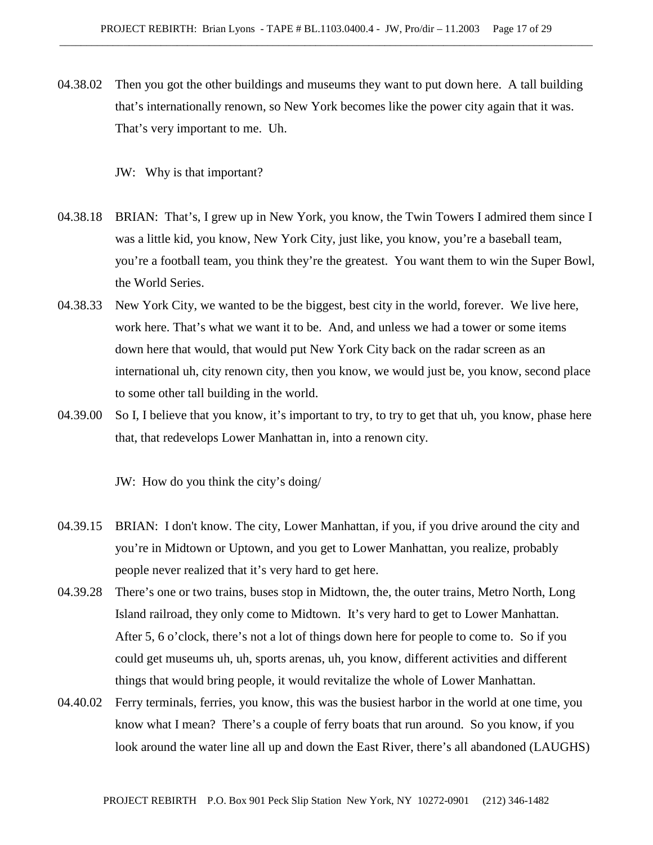04.38.02 Then you got the other buildings and museums they want to put down here. A tall building that's internationally renown, so New York becomes like the power city again that it was. That's very important to me. Uh.

JW: Why is that important?

- 04.38.18 BRIAN: That's, I grew up in New York, you know, the Twin Towers I admired them since I was a little kid, you know, New York City, just like, you know, you're a baseball team, you're a football team, you think they're the greatest. You want them to win the Super Bowl, the World Series.
- 04.38.33 New York City, we wanted to be the biggest, best city in the world, forever. We live here, work here. That's what we want it to be. And, and unless we had a tower or some items down here that would, that would put New York City back on the radar screen as an international uh, city renown city, then you know, we would just be, you know, second place to some other tall building in the world.
- 04.39.00 So I, I believe that you know, it's important to try, to try to get that uh, you know, phase here that, that redevelops Lower Manhattan in, into a renown city.

JW: How do you think the city's doing/

- 04.39.15 BRIAN: I don't know. The city, Lower Manhattan, if you, if you drive around the city and you're in Midtown or Uptown, and you get to Lower Manhattan, you realize, probably people never realized that it's very hard to get here.
- 04.39.28 There's one or two trains, buses stop in Midtown, the, the outer trains, Metro North, Long Island railroad, they only come to Midtown. It's very hard to get to Lower Manhattan. After 5, 6 o'clock, there's not a lot of things down here for people to come to. So if you could get museums uh, uh, sports arenas, uh, you know, different activities and different things that would bring people, it would revitalize the whole of Lower Manhattan.
- 04.40.02 Ferry terminals, ferries, you know, this was the busiest harbor in the world at one time, you know what I mean? There's a couple of ferry boats that run around. So you know, if you look around the water line all up and down the East River, there's all abandoned (LAUGHS)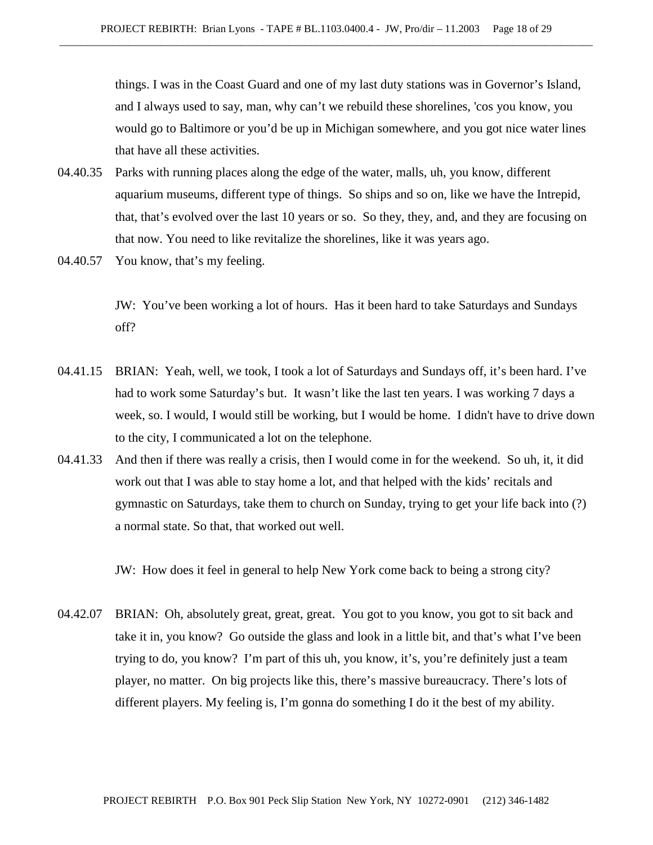things. I was in the Coast Guard and one of my last duty stations was in Governor's Island, and I always used to say, man, why can't we rebuild these shorelines, 'cos you know, you would go to Baltimore or you'd be up in Michigan somewhere, and you got nice water lines that have all these activities.

- 04.40.35 Parks with running places along the edge of the water, malls, uh, you know, different aquarium museums, different type of things. So ships and so on, like we have the Intrepid, that, that's evolved over the last 10 years or so. So they, they, and, and they are focusing on that now. You need to like revitalize the shorelines, like it was years ago.
- 04.40.57 You know, that's my feeling.

JW: You've been working a lot of hours. Has it been hard to take Saturdays and Sundays off?

- 04.41.15 BRIAN: Yeah, well, we took, I took a lot of Saturdays and Sundays off, it's been hard. I've had to work some Saturday's but. It wasn't like the last ten years. I was working 7 days a week, so. I would, I would still be working, but I would be home. I didn't have to drive down to the city, I communicated a lot on the telephone.
- 04.41.33 And then if there was really a crisis, then I would come in for the weekend. So uh, it, it did work out that I was able to stay home a lot, and that helped with the kids' recitals and gymnastic on Saturdays, take them to church on Sunday, trying to get your life back into (?) a normal state. So that, that worked out well.

JW: How does it feel in general to help New York come back to being a strong city?

04.42.07 BRIAN: Oh, absolutely great, great, great. You got to you know, you got to sit back and take it in, you know? Go outside the glass and look in a little bit, and that's what I've been trying to do, you know? I'm part of this uh, you know, it's, you're definitely just a team player, no matter. On big projects like this, there's massive bureaucracy. There's lots of different players. My feeling is, I'm gonna do something I do it the best of my ability.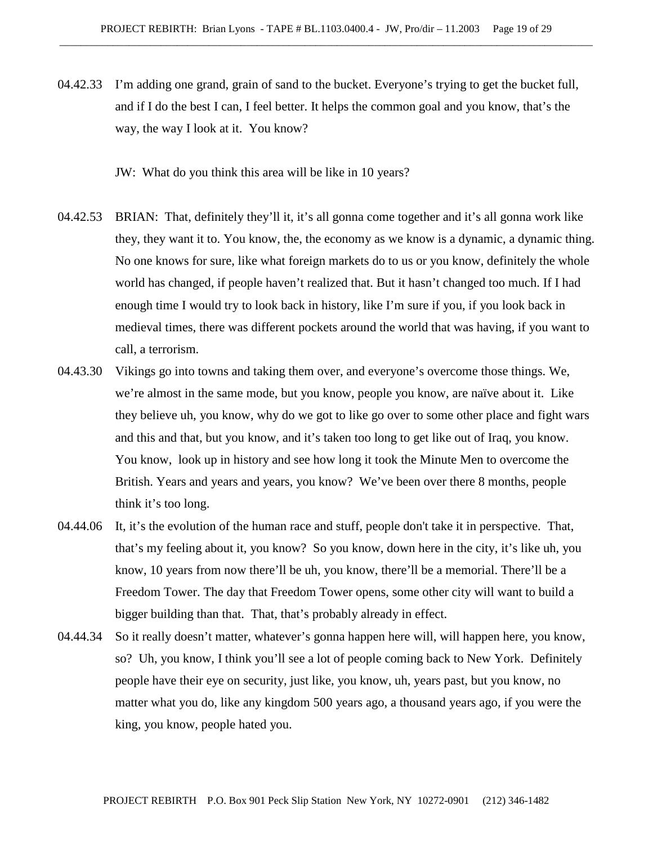04.42.33 I'm adding one grand, grain of sand to the bucket. Everyone's trying to get the bucket full, and if I do the best I can, I feel better. It helps the common goal and you know, that's the way, the way I look at it. You know?

JW: What do you think this area will be like in 10 years?

- 04.42.53 BRIAN: That, definitely they'll it, it's all gonna come together and it's all gonna work like they, they want it to. You know, the, the economy as we know is a dynamic, a dynamic thing. No one knows for sure, like what foreign markets do to us or you know, definitely the whole world has changed, if people haven't realized that. But it hasn't changed too much. If I had enough time I would try to look back in history, like I'm sure if you, if you look back in medieval times, there was different pockets around the world that was having, if you want to call, a terrorism.
- 04.43.30 Vikings go into towns and taking them over, and everyone's overcome those things. We, we're almost in the same mode, but you know, people you know, are naïve about it. Like they believe uh, you know, why do we got to like go over to some other place and fight wars and this and that, but you know, and it's taken too long to get like out of Iraq, you know. You know, look up in history and see how long it took the Minute Men to overcome the British. Years and years and years, you know? We've been over there 8 months, people think it's too long.
- 04.44.06 It, it's the evolution of the human race and stuff, people don't take it in perspective. That, that's my feeling about it, you know? So you know, down here in the city, it's like uh, you know, 10 years from now there'll be uh, you know, there'll be a memorial. There'll be a Freedom Tower. The day that Freedom Tower opens, some other city will want to build a bigger building than that. That, that's probably already in effect.
- 04.44.34 So it really doesn't matter, whatever's gonna happen here will, will happen here, you know, so? Uh, you know, I think you'll see a lot of people coming back to New York. Definitely people have their eye on security, just like, you know, uh, years past, but you know, no matter what you do, like any kingdom 500 years ago, a thousand years ago, if you were the king, you know, people hated you.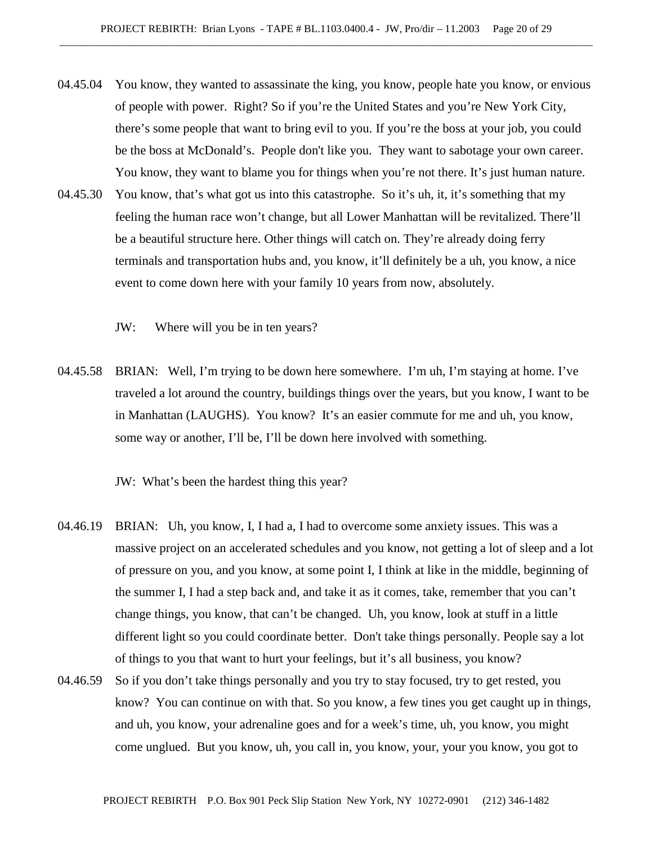- 04.45.04 You know, they wanted to assassinate the king, you know, people hate you know, or envious of people with power. Right? So if you're the United States and you're New York City, there's some people that want to bring evil to you. If you're the boss at your job, you could be the boss at McDonald's. People don't like you. They want to sabotage your own career. You know, they want to blame you for things when you're not there. It's just human nature.
- 04.45.30 You know, that's what got us into this catastrophe. So it's uh, it, it's something that my feeling the human race won't change, but all Lower Manhattan will be revitalized. There'll be a beautiful structure here. Other things will catch on. They're already doing ferry terminals and transportation hubs and, you know, it'll definitely be a uh, you know, a nice event to come down here with your family 10 years from now, absolutely.

JW: Where will you be in ten years?

04.45.58 BRIAN: Well, I'm trying to be down here somewhere. I'm uh, I'm staying at home. I've traveled a lot around the country, buildings things over the years, but you know, I want to be in Manhattan (LAUGHS). You know? It's an easier commute for me and uh, you know, some way or another, I'll be, I'll be down here involved with something.

JW: What's been the hardest thing this year?

- 04.46.19 BRIAN: Uh, you know, I, I had a, I had to overcome some anxiety issues. This was a massive project on an accelerated schedules and you know, not getting a lot of sleep and a lot of pressure on you, and you know, at some point I, I think at like in the middle, beginning of the summer I, I had a step back and, and take it as it comes, take, remember that you can't change things, you know, that can't be changed. Uh, you know, look at stuff in a little different light so you could coordinate better. Don't take things personally. People say a lot of things to you that want to hurt your feelings, but it's all business, you know?
- 04.46.59 So if you don't take things personally and you try to stay focused, try to get rested, you know? You can continue on with that. So you know, a few tines you get caught up in things, and uh, you know, your adrenaline goes and for a week's time, uh, you know, you might come unglued. But you know, uh, you call in, you know, your, your you know, you got to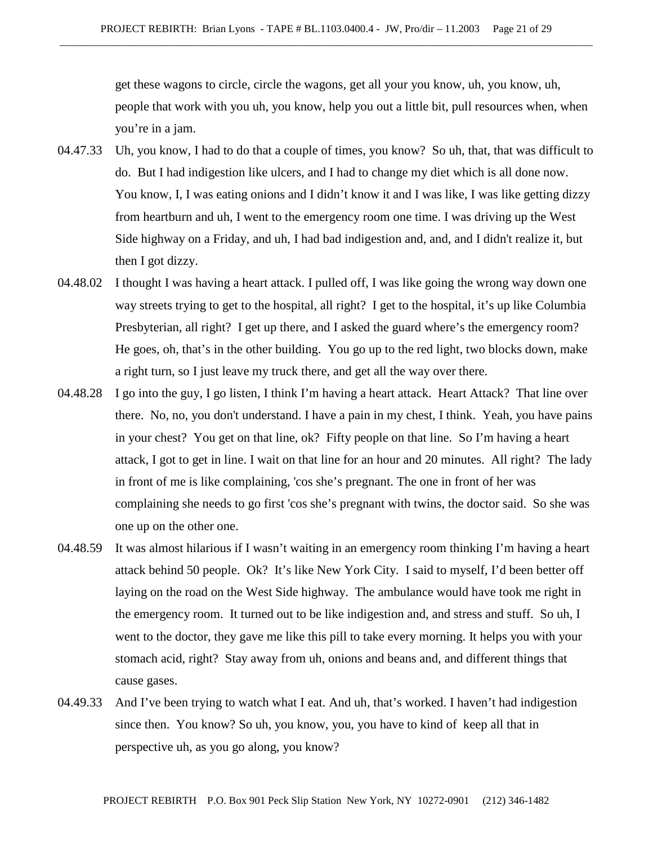get these wagons to circle, circle the wagons, get all your you know, uh, you know, uh, people that work with you uh, you know, help you out a little bit, pull resources when, when you're in a jam.

- 04.47.33 Uh, you know, I had to do that a couple of times, you know? So uh, that, that was difficult to do. But I had indigestion like ulcers, and I had to change my diet which is all done now. You know, I, I was eating onions and I didn't know it and I was like, I was like getting dizzy from heartburn and uh, I went to the emergency room one time. I was driving up the West Side highway on a Friday, and uh, I had bad indigestion and, and, and I didn't realize it, but then I got dizzy.
- 04.48.02 I thought I was having a heart attack. I pulled off, I was like going the wrong way down one way streets trying to get to the hospital, all right? I get to the hospital, it's up like Columbia Presbyterian, all right? I get up there, and I asked the guard where's the emergency room? He goes, oh, that's in the other building. You go up to the red light, two blocks down, make a right turn, so I just leave my truck there, and get all the way over there.
- 04.48.28 I go into the guy, I go listen, I think I'm having a heart attack. Heart Attack? That line over there. No, no, you don't understand. I have a pain in my chest, I think. Yeah, you have pains in your chest? You get on that line, ok? Fifty people on that line. So I'm having a heart attack, I got to get in line. I wait on that line for an hour and 20 minutes. All right? The lady in front of me is like complaining, 'cos she's pregnant. The one in front of her was complaining she needs to go first 'cos she's pregnant with twins, the doctor said. So she was one up on the other one.
- 04.48.59 It was almost hilarious if I wasn't waiting in an emergency room thinking I'm having a heart attack behind 50 people. Ok? It's like New York City. I said to myself, I'd been better off laying on the road on the West Side highway. The ambulance would have took me right in the emergency room. It turned out to be like indigestion and, and stress and stuff. So uh, I went to the doctor, they gave me like this pill to take every morning. It helps you with your stomach acid, right? Stay away from uh, onions and beans and, and different things that cause gases.
- 04.49.33 And I've been trying to watch what I eat. And uh, that's worked. I haven't had indigestion since then. You know? So uh, you know, you, you have to kind of keep all that in perspective uh, as you go along, you know?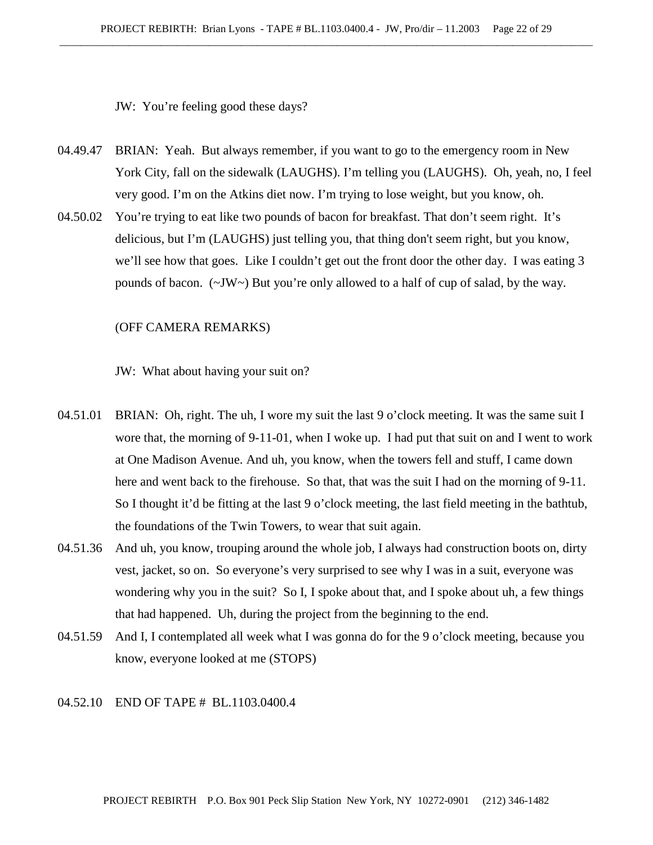JW: You're feeling good these days?

- 04.49.47 BRIAN: Yeah. But always remember, if you want to go to the emergency room in New York City, fall on the sidewalk (LAUGHS). I'm telling you (LAUGHS). Oh, yeah, no, I feel very good. I'm on the Atkins diet now. I'm trying to lose weight, but you know, oh.
- 04.50.02 You're trying to eat like two pounds of bacon for breakfast. That don't seem right. It's delicious, but I'm (LAUGHS) just telling you, that thing don't seem right, but you know, we'll see how that goes. Like I couldn't get out the front door the other day. I was eating 3 pounds of bacon. (~JW~) But you're only allowed to a half of cup of salad, by the way.

#### (OFF CAMERA REMARKS)

JW: What about having your suit on?

- 04.51.01 BRIAN: Oh, right. The uh, I wore my suit the last 9 o'clock meeting. It was the same suit I wore that, the morning of 9-11-01, when I woke up. I had put that suit on and I went to work at One Madison Avenue. And uh, you know, when the towers fell and stuff, I came down here and went back to the firehouse. So that, that was the suit I had on the morning of 9-11. So I thought it'd be fitting at the last 9 o'clock meeting, the last field meeting in the bathtub, the foundations of the Twin Towers, to wear that suit again.
- 04.51.36 And uh, you know, trouping around the whole job, I always had construction boots on, dirty vest, jacket, so on. So everyone's very surprised to see why I was in a suit, everyone was wondering why you in the suit? So I, I spoke about that, and I spoke about uh, a few things that had happened. Uh, during the project from the beginning to the end.
- 04.51.59 And I, I contemplated all week what I was gonna do for the 9 o'clock meeting, because you know, everyone looked at me (STOPS)

### 04.52.10 END OF TAPE # BL.1103.0400.4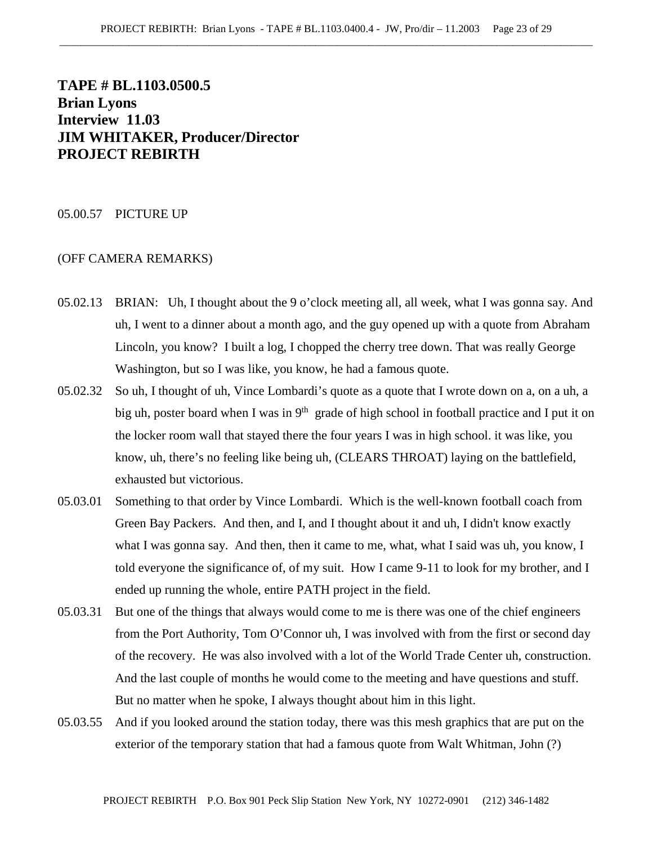# **TAPE # BL.1103.0500.5 Brian Lyons Interview 11.03 JIM WHITAKER, Producer/Director PROJECT REBIRTH**

### 05.00.57 PICTURE UP

- 05.02.13 BRIAN: Uh, I thought about the 9 o'clock meeting all, all week, what I was gonna say. And uh, I went to a dinner about a month ago, and the guy opened up with a quote from Abraham Lincoln, you know? I built a log, I chopped the cherry tree down. That was really George Washington, but so I was like, you know, he had a famous quote.
- 05.02.32 So uh, I thought of uh, Vince Lombardi's quote as a quote that I wrote down on a, on a uh, a big uh, poster board when I was in  $9<sup>th</sup>$  grade of high school in football practice and I put it on the locker room wall that stayed there the four years I was in high school. it was like, you know, uh, there's no feeling like being uh, (CLEARS THROAT) laying on the battlefield, exhausted but victorious.
- 05.03.01 Something to that order by Vince Lombardi. Which is the well-known football coach from Green Bay Packers. And then, and I, and I thought about it and uh, I didn't know exactly what I was gonna say. And then, then it came to me, what, what I said was uh, you know, I told everyone the significance of, of my suit. How I came 9-11 to look for my brother, and I ended up running the whole, entire PATH project in the field.
- 05.03.31 But one of the things that always would come to me is there was one of the chief engineers from the Port Authority, Tom O'Connor uh, I was involved with from the first or second day of the recovery. He was also involved with a lot of the World Trade Center uh, construction. And the last couple of months he would come to the meeting and have questions and stuff. But no matter when he spoke, I always thought about him in this light.
- 05.03.55 And if you looked around the station today, there was this mesh graphics that are put on the exterior of the temporary station that had a famous quote from Walt Whitman, John (?)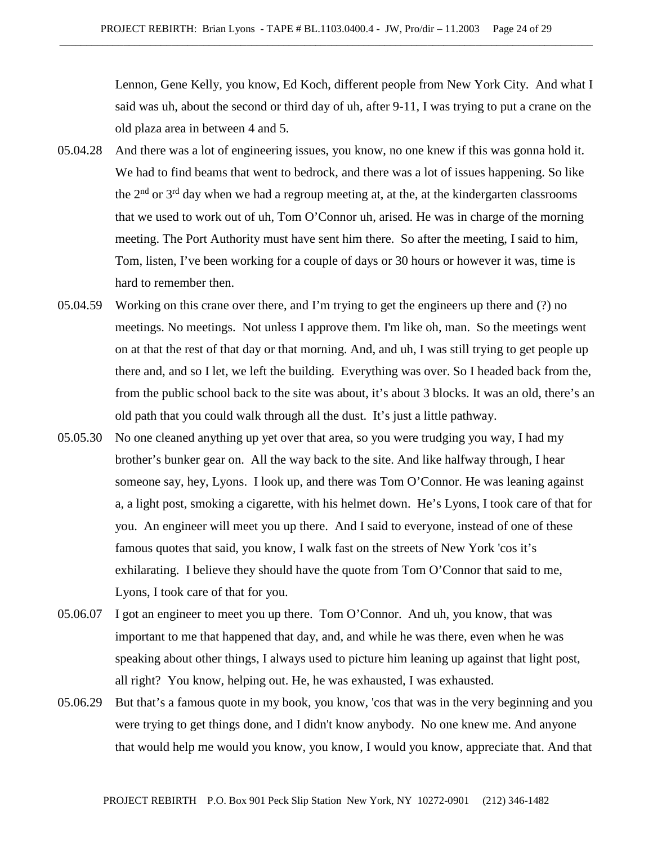Lennon, Gene Kelly, you know, Ed Koch, different people from New York City. And what I said was uh, about the second or third day of uh, after 9-11, I was trying to put a crane on the old plaza area in between 4 and 5.

- 05.04.28 And there was a lot of engineering issues, you know, no one knew if this was gonna hold it. We had to find beams that went to bedrock, and there was a lot of issues happening. So like the  $2<sup>nd</sup>$  or  $3<sup>rd</sup>$  day when we had a regroup meeting at, at the, at the kindergarten classrooms that we used to work out of uh, Tom O'Connor uh, arised. He was in charge of the morning meeting. The Port Authority must have sent him there. So after the meeting, I said to him, Tom, listen, I've been working for a couple of days or 30 hours or however it was, time is hard to remember then.
- 05.04.59 Working on this crane over there, and I'm trying to get the engineers up there and (?) no meetings. No meetings. Not unless I approve them. I'm like oh, man. So the meetings went on at that the rest of that day or that morning. And, and uh, I was still trying to get people up there and, and so I let, we left the building. Everything was over. So I headed back from the, from the public school back to the site was about, it's about 3 blocks. It was an old, there's an old path that you could walk through all the dust. It's just a little pathway.
- 05.05.30 No one cleaned anything up yet over that area, so you were trudging you way, I had my brother's bunker gear on. All the way back to the site. And like halfway through, I hear someone say, hey, Lyons. I look up, and there was Tom O'Connor. He was leaning against a, a light post, smoking a cigarette, with his helmet down. He's Lyons, I took care of that for you. An engineer will meet you up there. And I said to everyone, instead of one of these famous quotes that said, you know, I walk fast on the streets of New York 'cos it's exhilarating. I believe they should have the quote from Tom O'Connor that said to me, Lyons, I took care of that for you.
- 05.06.07 I got an engineer to meet you up there. Tom O'Connor. And uh, you know, that was important to me that happened that day, and, and while he was there, even when he was speaking about other things, I always used to picture him leaning up against that light post, all right? You know, helping out. He, he was exhausted, I was exhausted.
- 05.06.29 But that's a famous quote in my book, you know, 'cos that was in the very beginning and you were trying to get things done, and I didn't know anybody. No one knew me. And anyone that would help me would you know, you know, I would you know, appreciate that. And that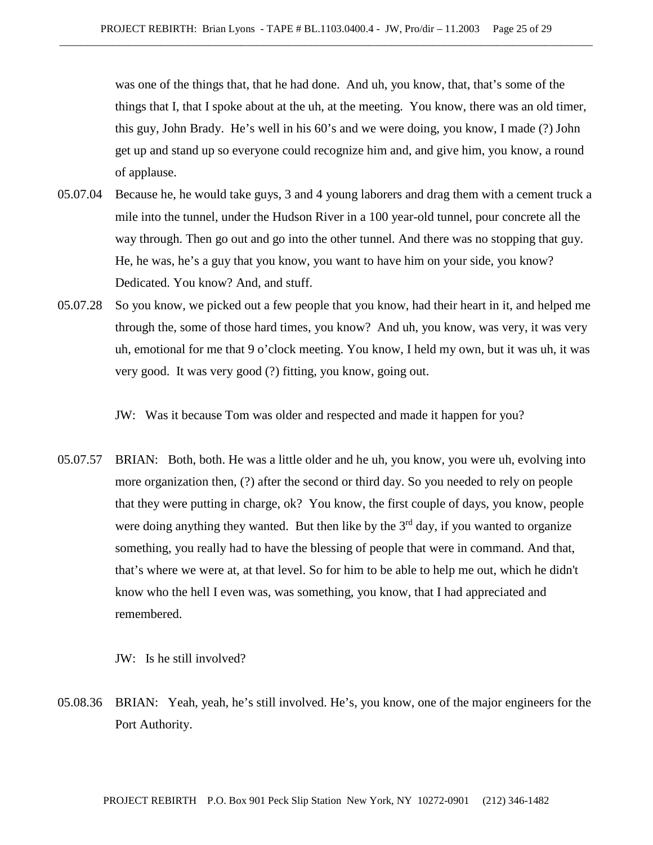was one of the things that, that he had done. And uh, you know, that, that's some of the things that I, that I spoke about at the uh, at the meeting. You know, there was an old timer, this guy, John Brady. He's well in his 60's and we were doing, you know, I made (?) John get up and stand up so everyone could recognize him and, and give him, you know, a round of applause.

- 05.07.04 Because he, he would take guys, 3 and 4 young laborers and drag them with a cement truck a mile into the tunnel, under the Hudson River in a 100 year-old tunnel, pour concrete all the way through. Then go out and go into the other tunnel. And there was no stopping that guy. He, he was, he's a guy that you know, you want to have him on your side, you know? Dedicated. You know? And, and stuff.
- 05.07.28 So you know, we picked out a few people that you know, had their heart in it, and helped me through the, some of those hard times, you know? And uh, you know, was very, it was very uh, emotional for me that 9 o'clock meeting. You know, I held my own, but it was uh, it was very good. It was very good (?) fitting, you know, going out.

JW: Was it because Tom was older and respected and made it happen for you?

05.07.57 BRIAN: Both, both. He was a little older and he uh, you know, you were uh, evolving into more organization then, (?) after the second or third day. So you needed to rely on people that they were putting in charge, ok? You know, the first couple of days, you know, people were doing anything they wanted. But then like by the  $3<sup>rd</sup>$  day, if you wanted to organize something, you really had to have the blessing of people that were in command. And that, that's where we were at, at that level. So for him to be able to help me out, which he didn't know who the hell I even was, was something, you know, that I had appreciated and remembered.

JW: Is he still involved?

05.08.36 BRIAN: Yeah, yeah, he's still involved. He's, you know, one of the major engineers for the Port Authority.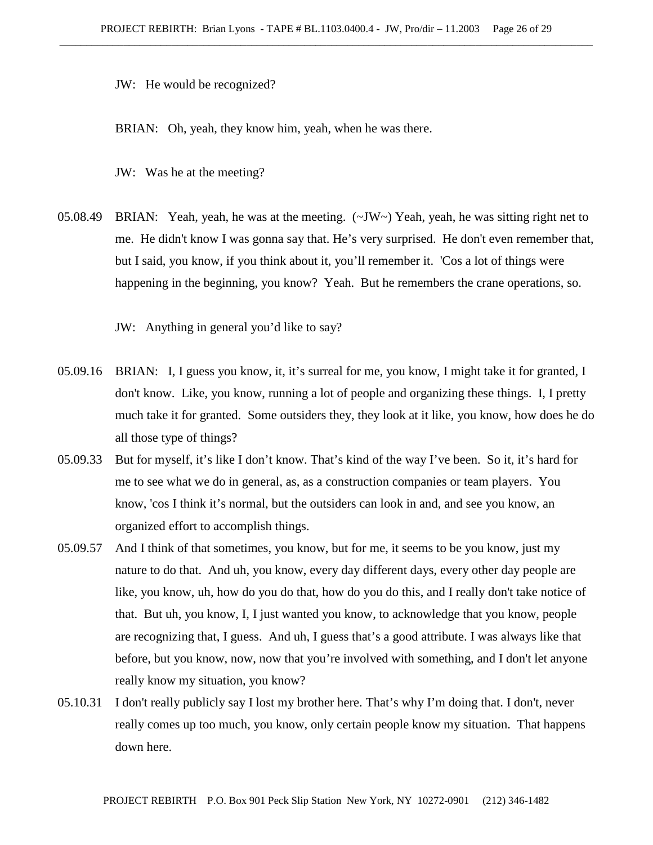JW: He would be recognized?

BRIAN: Oh, yeah, they know him, yeah, when he was there.

JW: Was he at the meeting?

05.08.49 BRIAN: Yeah, yeah, he was at the meeting. (~JW~) Yeah, yeah, he was sitting right net to me. He didn't know I was gonna say that. He's very surprised. He don't even remember that, but I said, you know, if you think about it, you'll remember it. 'Cos a lot of things were happening in the beginning, you know? Yeah. But he remembers the crane operations, so.

JW: Anything in general you'd like to say?

- 05.09.16 BRIAN: I, I guess you know, it, it's surreal for me, you know, I might take it for granted, I don't know. Like, you know, running a lot of people and organizing these things. I, I pretty much take it for granted. Some outsiders they, they look at it like, you know, how does he do all those type of things?
- 05.09.33 But for myself, it's like I don't know. That's kind of the way I've been. So it, it's hard for me to see what we do in general, as, as a construction companies or team players. You know, 'cos I think it's normal, but the outsiders can look in and, and see you know, an organized effort to accomplish things.
- 05.09.57 And I think of that sometimes, you know, but for me, it seems to be you know, just my nature to do that. And uh, you know, every day different days, every other day people are like, you know, uh, how do you do that, how do you do this, and I really don't take notice of that. But uh, you know, I, I just wanted you know, to acknowledge that you know, people are recognizing that, I guess. And uh, I guess that's a good attribute. I was always like that before, but you know, now, now that you're involved with something, and I don't let anyone really know my situation, you know?
- 05.10.31 I don't really publicly say I lost my brother here. That's why I'm doing that. I don't, never really comes up too much, you know, only certain people know my situation. That happens down here.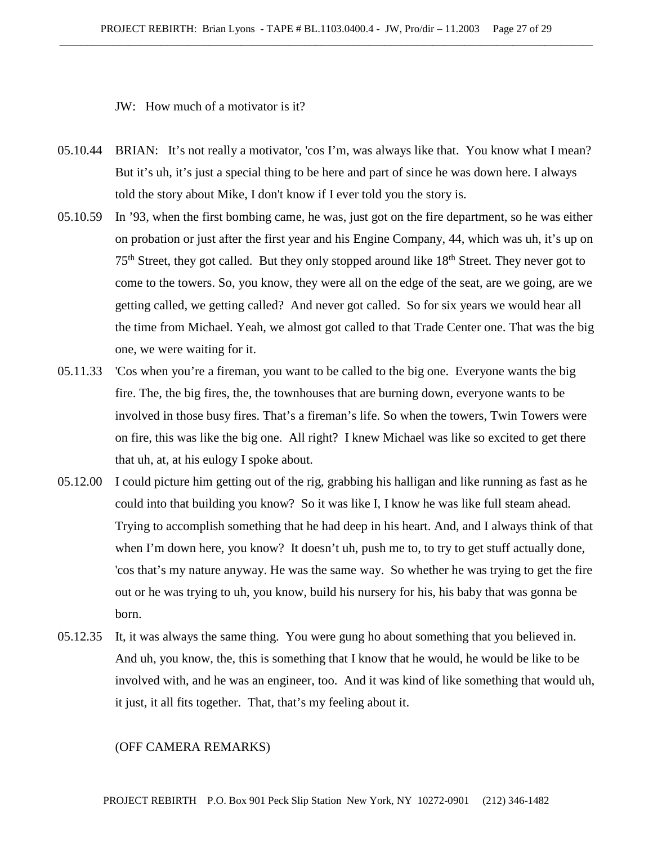JW: How much of a motivator is it?

- 05.10.44 BRIAN: It's not really a motivator, 'cos I'm, was always like that. You know what I mean? But it's uh, it's just a special thing to be here and part of since he was down here. I always told the story about Mike, I don't know if I ever told you the story is.
- 05.10.59 In '93, when the first bombing came, he was, just got on the fire department, so he was either on probation or just after the first year and his Engine Company, 44, which was uh, it's up on 75<sup>th</sup> Street, they got called. But they only stopped around like 18<sup>th</sup> Street. They never got to come to the towers. So, you know, they were all on the edge of the seat, are we going, are we getting called, we getting called? And never got called. So for six years we would hear all the time from Michael. Yeah, we almost got called to that Trade Center one. That was the big one, we were waiting for it.
- 05.11.33 'Cos when you're a fireman, you want to be called to the big one. Everyone wants the big fire. The, the big fires, the, the townhouses that are burning down, everyone wants to be involved in those busy fires. That's a fireman's life. So when the towers, Twin Towers were on fire, this was like the big one. All right? I knew Michael was like so excited to get there that uh, at, at his eulogy I spoke about.
- 05.12.00 I could picture him getting out of the rig, grabbing his halligan and like running as fast as he could into that building you know? So it was like I, I know he was like full steam ahead. Trying to accomplish something that he had deep in his heart. And, and I always think of that when I'm down here, you know? It doesn't uh, push me to, to try to get stuff actually done, 'cos that's my nature anyway. He was the same way. So whether he was trying to get the fire out or he was trying to uh, you know, build his nursery for his, his baby that was gonna be born.
- 05.12.35 It, it was always the same thing. You were gung ho about something that you believed in. And uh, you know, the, this is something that I know that he would, he would be like to be involved with, and he was an engineer, too. And it was kind of like something that would uh, it just, it all fits together. That, that's my feeling about it.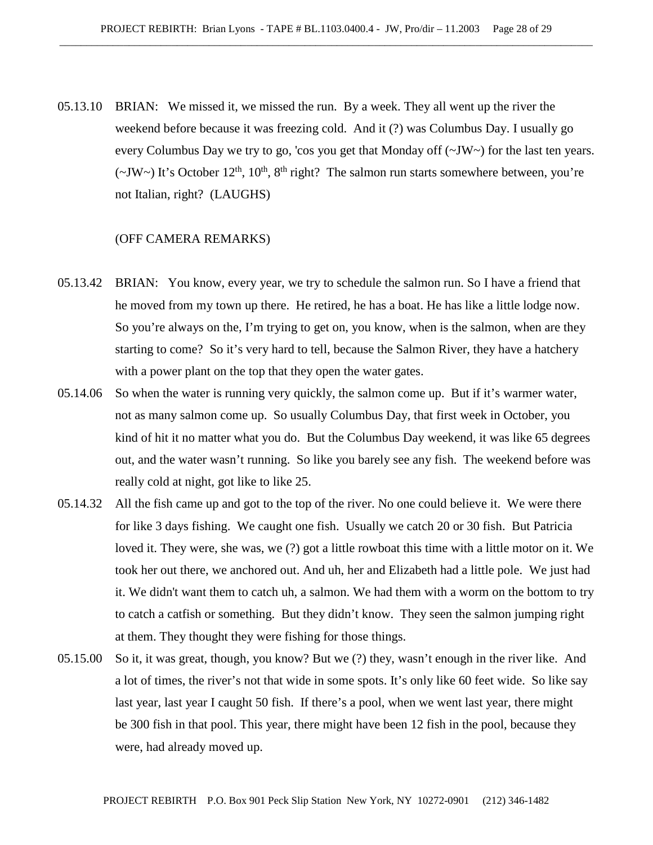05.13.10 BRIAN: We missed it, we missed the run. By a week. They all went up the river the weekend before because it was freezing cold. And it (?) was Columbus Day. I usually go every Columbus Day we try to go, 'cos you get that Monday off (~JW~) for the last ten years.  $(\sim JW \sim)$  It's October 12<sup>th</sup>, 10<sup>th</sup>, 8<sup>th</sup> right? The salmon run starts somewhere between, you're not Italian, right? (LAUGHS)

- 05.13.42 BRIAN: You know, every year, we try to schedule the salmon run. So I have a friend that he moved from my town up there. He retired, he has a boat. He has like a little lodge now. So you're always on the, I'm trying to get on, you know, when is the salmon, when are they starting to come? So it's very hard to tell, because the Salmon River, they have a hatchery with a power plant on the top that they open the water gates.
- 05.14.06 So when the water is running very quickly, the salmon come up. But if it's warmer water, not as many salmon come up. So usually Columbus Day, that first week in October, you kind of hit it no matter what you do. But the Columbus Day weekend, it was like 65 degrees out, and the water wasn't running. So like you barely see any fish. The weekend before was really cold at night, got like to like 25.
- 05.14.32 All the fish came up and got to the top of the river. No one could believe it. We were there for like 3 days fishing. We caught one fish. Usually we catch 20 or 30 fish. But Patricia loved it. They were, she was, we (?) got a little rowboat this time with a little motor on it. We took her out there, we anchored out. And uh, her and Elizabeth had a little pole. We just had it. We didn't want them to catch uh, a salmon. We had them with a worm on the bottom to try to catch a catfish or something. But they didn't know. They seen the salmon jumping right at them. They thought they were fishing for those things.
- 05.15.00 So it, it was great, though, you know? But we (?) they, wasn't enough in the river like. And a lot of times, the river's not that wide in some spots. It's only like 60 feet wide. So like say last year, last year I caught 50 fish. If there's a pool, when we went last year, there might be 300 fish in that pool. This year, there might have been 12 fish in the pool, because they were, had already moved up.